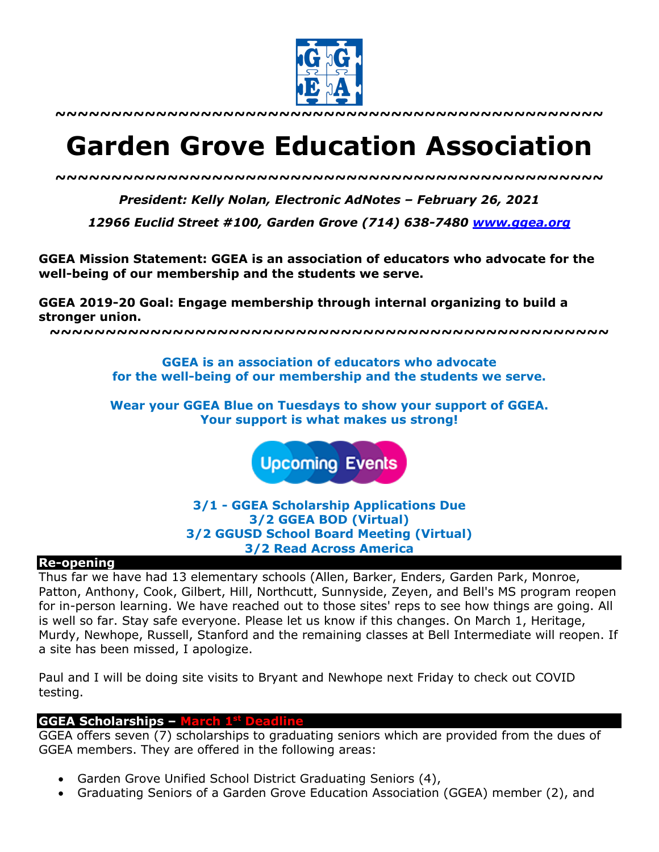

**~~~~~~~~~~~~~~~~~~~~~~~~~~~~~~~~~~~~~~~~~~~~~~~~~**

# **Garden Grove Education Association**

*~~~~~~~~~~~~~~~~~~~~~~~~~~~~~~~~~~~~~~~~~~~~~~~~~*

*President: Kelly Nolan, Electronic AdNotes – February 26, 2021*

*12966 Euclid Street #100, Garden Grove (714) 638-7480 www.ggea.org*

**GGEA Mission Statement: GGEA is an association of educators who advocate for the well-being of our membership and the students we serve.** 

**GGEA 2019-20 Goal: Engage membership through internal organizing to build a stronger union.**

**~~~~~~~~~~~~~~~~~~~~~~~~~~~~~~~~~~~~~~~~~~~~~~~~~~**

**GGEA is an association of educators who advocate for the well-being of our membership and the students we serve.**

**Wear your GGEA Blue on Tuesdays to show your support of GGEA. Your support is what makes us strong!**

**Upcoming Events** 

**3/1 - GGEA Scholarship Applications Due 3/2 GGEA BOD (Virtual) 3/2 GGUSD School Board Meeting (Virtual) 3/2 Read Across America**

#### **Re-opening**

Thus far we have had 13 elementary schools (Allen, Barker, Enders, Garden Park, Monroe, Patton, Anthony, Cook, Gilbert, Hill, Northcutt, Sunnyside, Zeyen, and Bell's MS program reopen for in-person learning. We have reached out to those sites' reps to see how things are going. All is well so far. Stay safe everyone. Please let us know if this changes. On March 1, Heritage, Murdy, Newhope, Russell, Stanford and the remaining classes at Bell Intermediate will reopen. If a site has been missed, I apologize.

Paul and I will be doing site visits to Bryant and Newhope next Friday to check out COVID testing.

#### **GGEA Scholarships – March 1st Deadline**

GGEA offers seven (7) scholarships to graduating seniors which are provided from the dues of GGEA members. They are offered in the following areas:

- Garden Grove Unified School District Graduating Seniors (4),
- Graduating Seniors of a Garden Grove Education Association (GGEA) member (2), and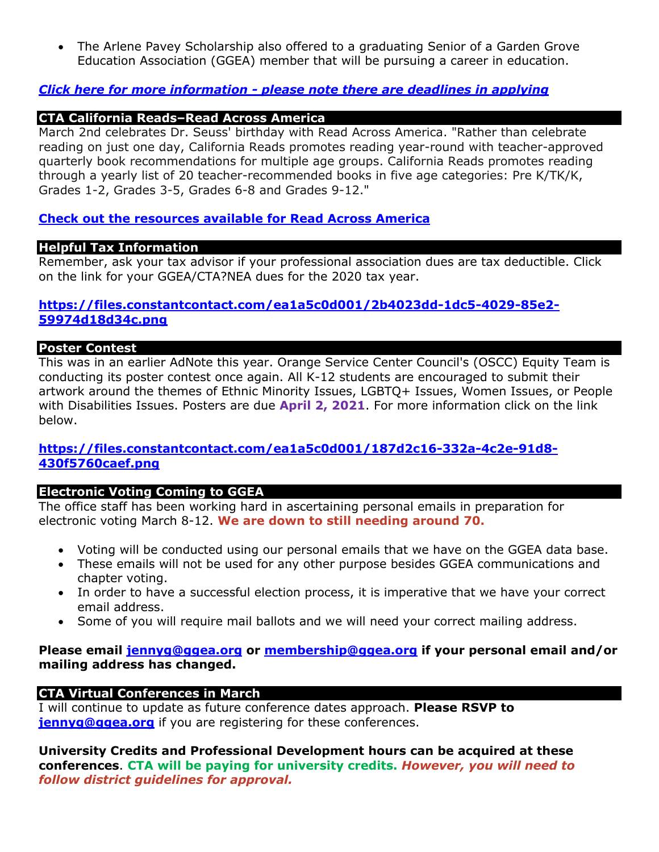• The Arlene Pavey Scholarship also offered to a graduating Senior of a Garden Grove Education Association (GGEA) member that will be pursuing a career in education.

## *Click here for more information - please note there are deadlines in applying*

# **CTA California Reads–Read Across America**

March 2nd celebrates Dr. Seuss' birthday with Read Across America. "Rather than celebrate reading on just one day, California Reads promotes reading year-round with teacher-approved quarterly book recommendations for multiple age groups. California Reads promotes reading through a yearly list of 20 teacher-recommended books in five age categories: Pre K/TK/K, Grades 1-2, Grades 3-5, Grades 6-8 and Grades 9-12."

# **Check out the resources available for Read Across America**

## **Helpful Tax Information**

Remember, ask your tax advisor if your professional association dues are tax deductible. Click on the link for your GGEA/CTA?NEA dues for the 2020 tax year.

## **https://files.constantcontact.com/ea1a5c0d001/2b4023dd-1dc5-4029-85e2- 59974d18d34c.png**

## **Poster Contest**

This was in an earlier AdNote this year. Orange Service Center Council's (OSCC) Equity Team is conducting its poster contest once again. All K-12 students are encouraged to submit their artwork around the themes of Ethnic Minority Issues, LGBTQ+ Issues, Women Issues, or People with Disabilities Issues. Posters are due **April 2, 2021**. For more information click on the link below.

## **https://files.constantcontact.com/ea1a5c0d001/187d2c16-332a-4c2e-91d8- 430f5760caef.png**

## **Electronic Voting Coming to GGEA**

The office staff has been working hard in ascertaining personal emails in preparation for electronic voting March 8-12. **We are down to still needing around 70.** 

- Voting will be conducted using our personal emails that we have on the GGEA data base.
- These emails will not be used for any other purpose besides GGEA communications and chapter voting.
- In order to have a successful election process, it is imperative that we have your correct email address.
- Some of you will require mail ballots and we will need your correct mailing address.

## **Please email jennyg@ggea.org or membership@ggea.org if your personal email and/or mailing address has changed.**

## **CTA Virtual Conferences in March**

I will continue to update as future conference dates approach. **Please RSVP to jennyg@ggea.org** if you are registering for these conferences.

**University Credits and Professional Development hours can be acquired at these conferences**. **CTA will be paying for university credits.** *However, you will need to follow district guidelines for approval.*